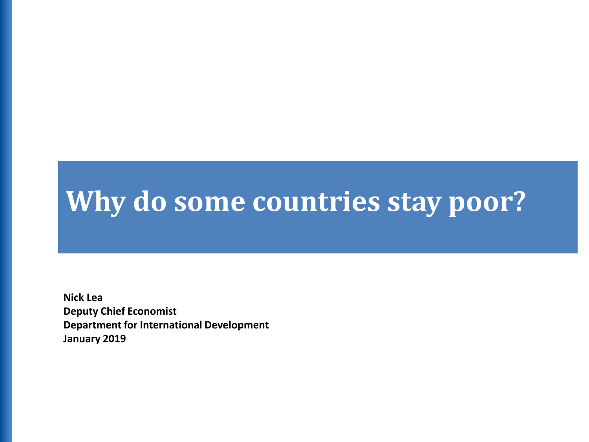# **Why do some countries stay poor?**

**Nick Lea Deputy Chief Economist Department for International Development January 2019**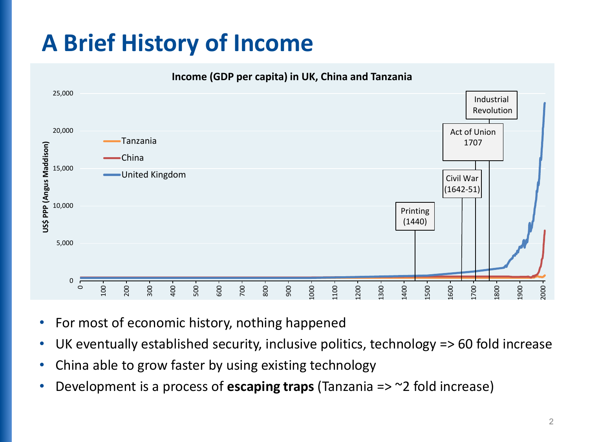# **A Brief History of Income**



- For most of economic history, nothing happened
- UK eventually established security, inclusive politics, technology => 60 fold increase
- China able to grow faster by using existing technology
- Development is a process of **escaping traps** (Tanzania => ~2 fold increase)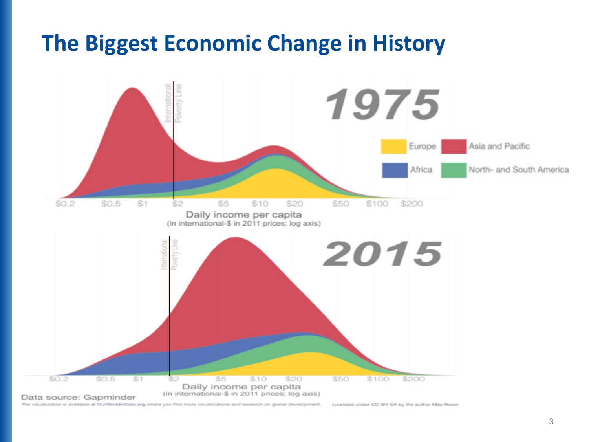#### **The Biggest Economic Change in History**



The visualization is available at OurWorldinData.org where you find more visualizations and research on global development. Licensed under CC-BY-SA by the author Max Roser.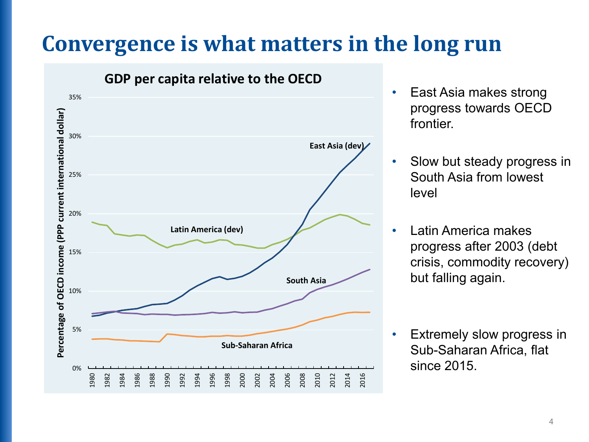#### **Convergence is what matters in the long run**



**GDP per capita relative to the OECD**

- East Asia makes strong progress towards OECD frontier.
- Slow but steady progress in South Asia from lowest level
- Latin America makes progress after 2003 (debt crisis, commodity recovery) but falling again.
- Extremely slow progress in Sub-Saharan Africa, flat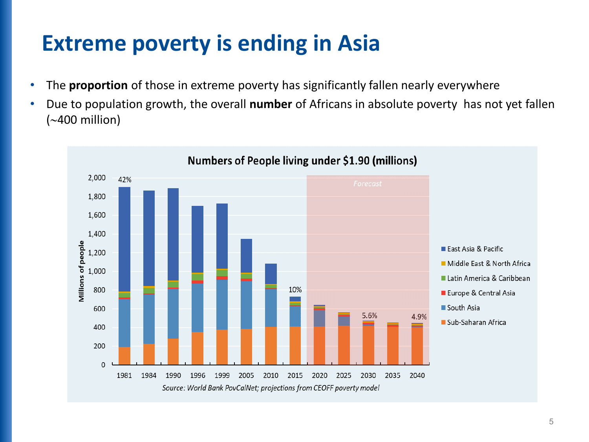## **Extreme poverty is ending in Asia**

- The **proportion** of those in extreme poverty has significantly fallen nearly everywhere
- Due to population growth, the overall **number** of Africans in absolute poverty has not yet fallen (∼400 million)

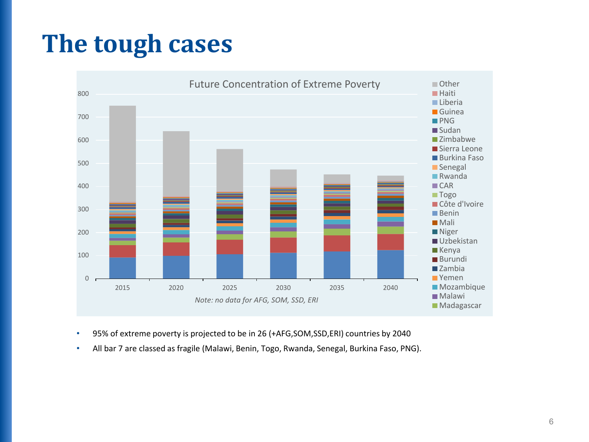# **The tough cases**



- 95% of extreme poverty is projected to be in 26 (+AFG,SOM,SSD,ERI) countries by 2040
- All bar 7 are classed as fragile (Malawi, Benin, Togo, Rwanda, Senegal, Burkina Faso, PNG).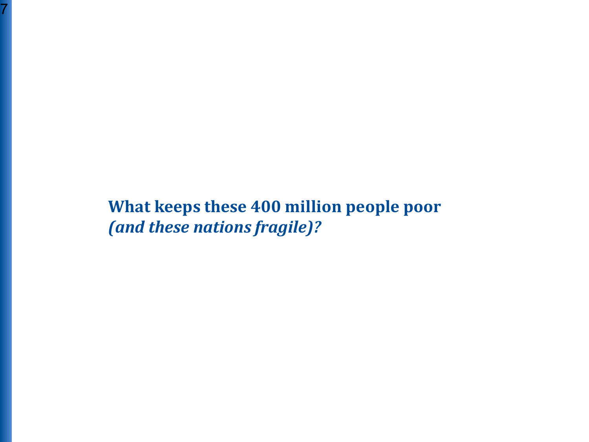**What keeps these 400 million people poor**  *(and these nations fragile)?*

7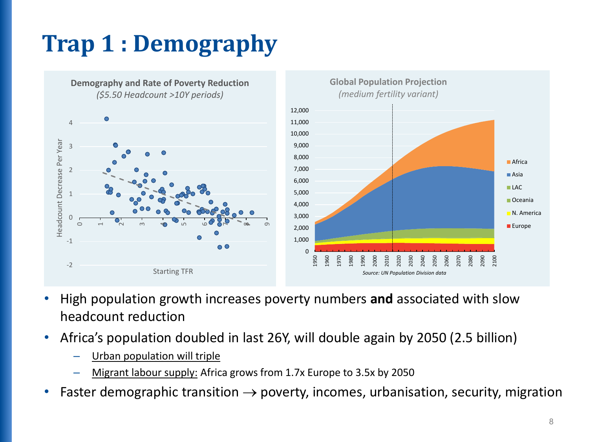# **Trap 1 : Demography**



- High population growth increases poverty numbers **and** associated with slow headcount reduction
- Africa's population doubled in last 26Y, will double again by 2050 (2.5 billion)
	- Urban population will triple
	- Migrant labour supply: Africa grows from 1.7x Europe to 3.5x by 2050
- Faster demographic transition  $\rightarrow$  poverty, incomes, urbanisation, security, migration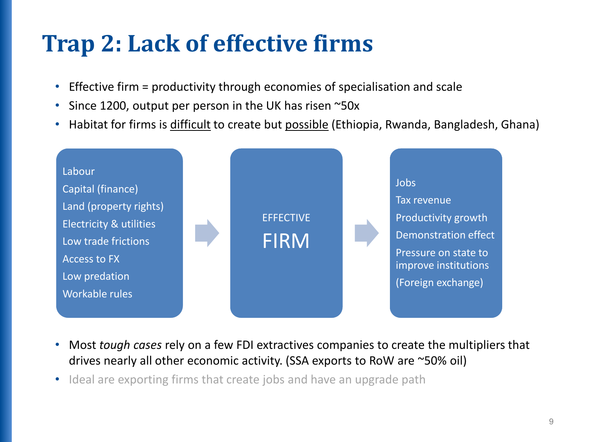# **Trap 2: Lack of effective firms**

- Effective firm = productivity through economies of specialisation and scale
- Since 1200, output per person in the UK has risen ~50x
- Habitat for firms is difficult to create but possible (Ethiopia, Rwanda, Bangladesh, Ghana)



- Most *tough cases* rely on a few FDI extractives companies to create the multipliers that drives nearly all other economic activity. (SSA exports to RoW are ~50% oil)
- Ideal are exporting firms that create jobs and have an upgrade path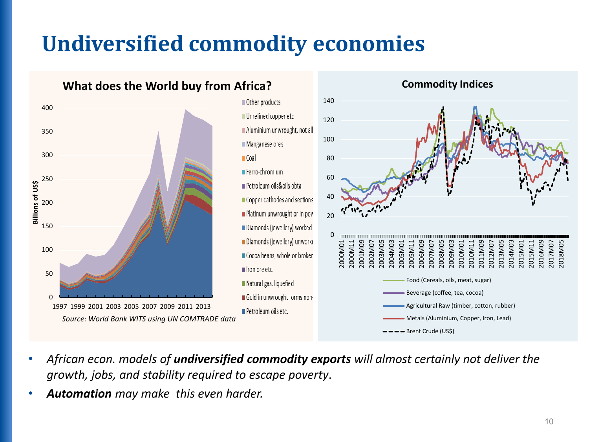# **Undiversified commodity economies**







- *African econ. models of undiversified commodity exports will almost certainly not deliver the growth, jobs, and stability required to escape poverty*.
- *Automation may make this even harder.*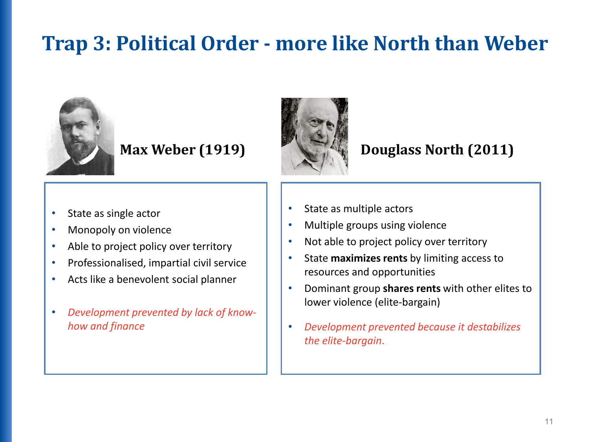#### **Trap 3: Political Order - more like North than Weber**



- State as single actor
- Monopoly on violence
- Able to project policy over territory
- Professionalised, impartial civil service
- Acts like a benevolent social planner
- *Development prevented by lack of knowhow and finance*



#### **Max Weber (1919) Douglass North (2011)**

- State as multiple actors
- Multiple groups using violence
- Not able to project policy over territory
- State **maximizes rents** by limiting access to resources and opportunities
- Dominant group **shares rents** with other elites to lower violence (elite-bargain)
- *Development prevented because it destabilizes the elite-bargain*.